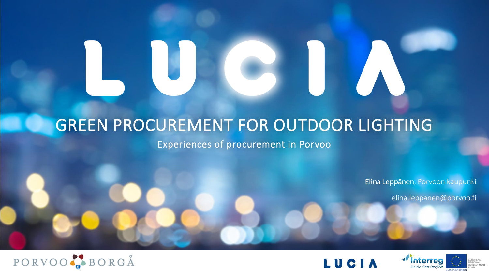### GREEN PROCUREMENT FOR OUTDOOR LIGHTING

Experiences of procurement in Porvoo

Elina Leppänen, Porvoon kaupunki

elina.leppanen@porvoo.fi







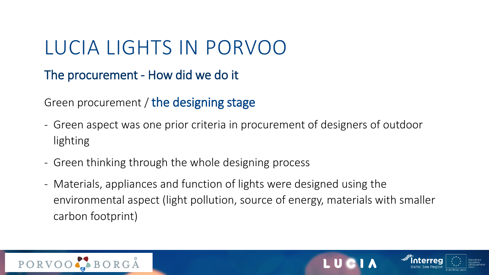The procurement - How did we do it

Green procurement / the designing stage

- Green aspect was one prior criteria in procurement of designers of outdoor lighting
- Green thinking through the whole designing process
- Materials, appliances and function of lights were designed using the environmental aspect (light pollution, source of energy, materials with smaller carbon footprint)



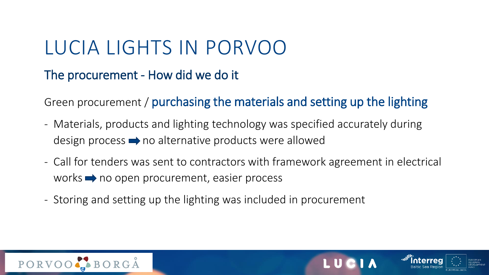The procurement - How did we do it

Green procurement / purchasing the materials and setting up the lighting

- Materials, products and lighting technology was specified accurately during design process  $\rightarrow$  no alternative products were allowed
- Call for tenders was sent to contractors with framework agreement in electrical works  $\rightarrow$  no open procurement, easier process
- Storing and setting up the lighting was included in procurement



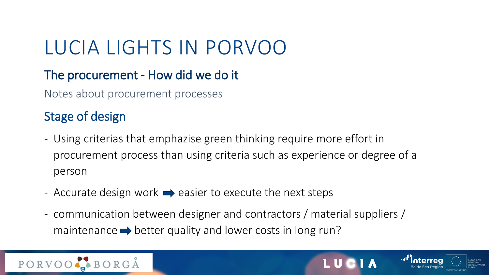#### The procurement - How did we do it

Notes about procurement processes

### Stage of design

- Using criterias that emphazise green thinking require more effort in procurement process than using criteria such as experience or degree of a person
- Accurate design work  $\rightarrow$  easier to execute the next steps
- communication between designer and contractors / material suppliers / maintenance  $\rightarrow$  better quality and lower costs in long run?



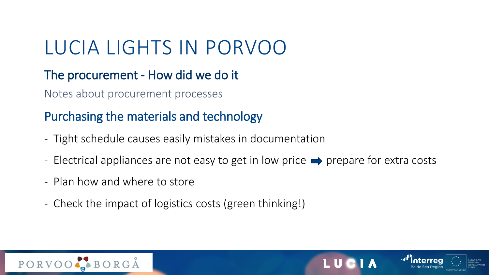#### The procurement - How did we do it

Notes about procurement processes

### Purchasing the materials and technology

- Tight schedule causes easily mistakes in documentation
- Electrical appliances are not easy to get in low price  $\rightarrow$  prepare for extra costs
- Plan how and where to store
- Check the impact of logistics costs (green thinking!)